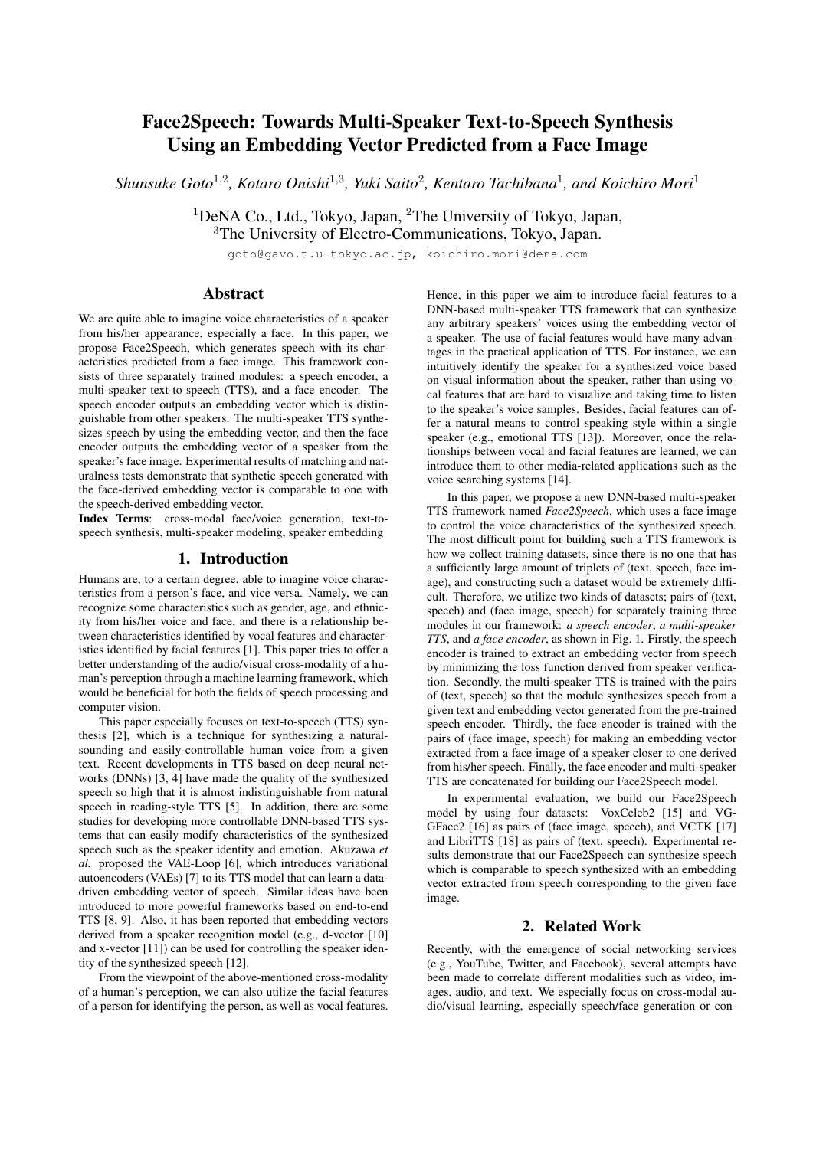# Face2Speech: Towards Multi-Speaker Text-to-Speech Synthesis Using an Embedding Vector Predicted from a Face Image

Shunsuke Goto<sup>1,2</sup>, Kotaro Onishi<sup>1,3</sup>, Yuki Saito<sup>2</sup>, Kentaro Tachibana<sup>1</sup>, and Koichiro Mori<sup>1</sup>

<sup>1</sup>DeNA Co., Ltd., Tokyo, Japan, <sup>2</sup>The University of Tokyo, Japan, <sup>3</sup>The University of Electro-Communications, Tokyo, Japan.

goto@gavo.t.u-tokyo.ac.jp, koichiro.mori@dena.com

# Abstract

We are quite able to imagine voice characteristics of a speaker from his/her appearance, especially a face. In this paper, we propose Face2Speech, which generates speech with its characteristics predicted from a face image. This framework consists of three separately trained modules: a speech encoder, a multi-speaker text-to-speech (TTS), and a face encoder. The speech encoder outputs an embedding vector which is distinguishable from other speakers. The multi-speaker TTS synthesizes speech by using the embedding vector, and then the face encoder outputs the embedding vector of a speaker from the speaker's face image. Experimental results of matching and naturalness tests demonstrate that synthetic speech generated with the face-derived embedding vector is comparable to one with the speech-derived embedding vector.

Index Terms: cross-modal face/voice generation, text-tospeech synthesis, multi-speaker modeling, speaker embedding

# 1. Introduction

Humans are, to a certain degree, able to imagine voice characteristics from a person's face, and vice versa. Namely, we can recognize some characteristics such as gender, age, and ethnicity from his/her voice and face, and there is a relationship between characteristics identified by vocal features and characteristics identified by facial features [1]. This paper tries to offer a better understanding of the audio/visual cross-modality of a human's perception through a machine learning framework, which would be beneficial for both the fields of speech processing and computer vision.

This paper especially focuses on text-to-speech (TTS) synthesis [2], which is a technique for synthesizing a naturalsounding and easily-controllable human voice from a given text. Recent developments in TTS based on deep neural networks (DNNs) [3, 4] have made the quality of the synthesized speech so high that it is almost indistinguishable from natural speech in reading-style TTS [5]. In addition, there are some studies for developing more controllable DNN-based TTS systems that can easily modify characteristics of the synthesized speech such as the speaker identity and emotion. Akuzawa *et al.* proposed the VAE-Loop [6], which introduces variational autoencoders (VAEs) [7] to its TTS model that can learn a datadriven embedding vector of speech. Similar ideas have been introduced to more powerful frameworks based on end-to-end TTS [8, 9]. Also, it has been reported that embedding vectors derived from a speaker recognition model (e.g., d-vector [10] and x-vector [11]) can be used for controlling the speaker identity of the synthesized speech [12].

From the viewpoint of the above-mentioned cross-modality of a human's perception, we can also utilize the facial features of a person for identifying the person, as well as vocal features.

Hence, in this paper we aim to introduce facial features to a DNN-based multi-speaker TTS framework that can synthesize any arbitrary speakers' voices using the embedding vector of a speaker. The use of facial features would have many advantages in the practical application of TTS. For instance, we can intuitively identify the speaker for a synthesized voice based on visual information about the speaker, rather than using vocal features that are hard to visualize and taking time to listen to the speaker's voice samples. Besides, facial features can offer a natural means to control speaking style within a single speaker (e.g., emotional TTS [13]). Moreover, once the relationships between vocal and facial features are learned, we can introduce them to other media-related applications such as the voice searching systems [14].

In this paper, we propose a new DNN-based multi-speaker TTS framework named *Face2Speech*, which uses a face image to control the voice characteristics of the synthesized speech. The most difficult point for building such a TTS framework is how we collect training datasets, since there is no one that has a sufficiently large amount of triplets of (text, speech, face image), and constructing such a dataset would be extremely difficult. Therefore, we utilize two kinds of datasets; pairs of (text, speech) and (face image, speech) for separately training three modules in our framework: *a speech encoder*, *a multi-speaker TTS*, and *a face encoder*, as shown in Fig. 1. Firstly, the speech encoder is trained to extract an embedding vector from speech by minimizing the loss function derived from speaker verification. Secondly, the multi-speaker TTS is trained with the pairs of (text, speech) so that the module synthesizes speech from a given text and embedding vector generated from the pre-trained speech encoder. Thirdly, the face encoder is trained with the pairs of (face image, speech) for making an embedding vector extracted from a face image of a speaker closer to one derived from his/her speech. Finally, the face encoder and multi-speaker TTS are concatenated for building our Face2Speech model.

In experimental evaluation, we build our Face2Speech model by using four datasets: VoxCeleb2 [15] and VG-GFace2 [16] as pairs of (face image, speech), and VCTK [17] and LibriTTS [18] as pairs of (text, speech). Experimental results demonstrate that our Face2Speech can synthesize speech which is comparable to speech synthesized with an embedding vector extracted from speech corresponding to the given face image.

# 2. Related Work

Recently, with the emergence of social networking services (e.g., YouTube, Twitter, and Facebook), several attempts have been made to correlate different modalities such as video, images, audio, and text. We especially focus on cross-modal audio/visual learning, especially speech/face generation or con-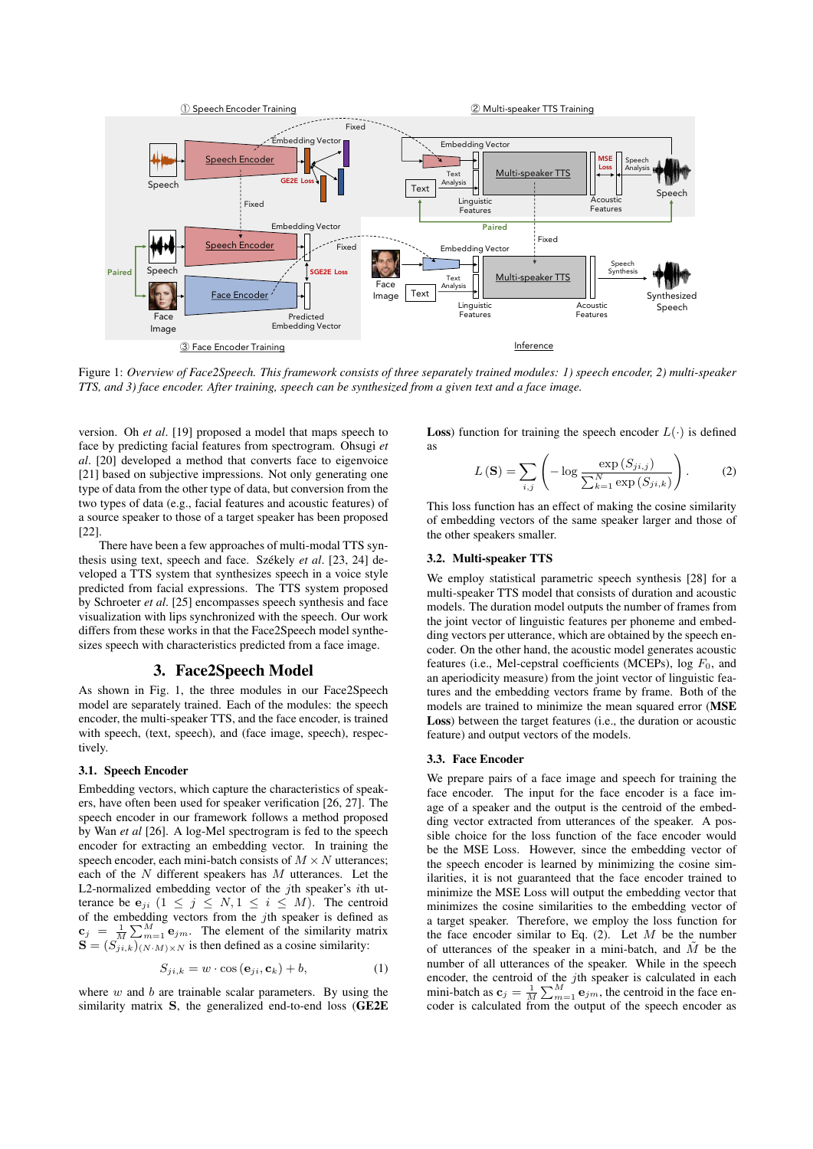

Figure 1: *Overview of Face2Speech. This framework consists of three separately trained modules: 1) speech encoder, 2) multi-speaker TTS, and 3) face encoder. After training, speech can be synthesized from a given text and a face image.*

version. Oh *et al*. [19] proposed a model that maps speech to face by predicting facial features from spectrogram. Ohsugi *et al*. [20] developed a method that converts face to eigenvoice [21] based on subjective impressions. Not only generating one type of data from the other type of data, but conversion from the two types of data (e.g., facial features and acoustic features) of a source speaker to those of a target speaker has been proposed [22].

There have been a few approaches of multi-modal TTS synthesis using text, speech and face. Székely et al. [23, 24] developed a TTS system that synthesizes speech in a voice style predicted from facial expressions. The TTS system proposed by Schroeter *et al*. [25] encompasses speech synthesis and face visualization with lips synchronized with the speech. Our work differs from these works in that the Face2Speech model synthesizes speech with characteristics predicted from a face image.

# 3. Face2Speech Model

As shown in Fig. 1, the three modules in our Face2Speech model are separately trained. Each of the modules: the speech encoder, the multi-speaker TTS, and the face encoder, is trained with speech, (text, speech), and (face image, speech), respectively.

# 3.1. Speech Encoder

Embedding vectors, which capture the characteristics of speakers, have often been used for speaker verification [26, 27]. The speech encoder in our framework follows a method proposed by Wan *et al* [26]. A log-Mel spectrogram is fed to the speech encoder for extracting an embedding vector. In training the speech encoder, each mini-batch consists of  $M \times N$  utterances; each of the  $N$  different speakers has  $M$  utterances. Let the L2-normalized embedding vector of the *j*th speaker's *i*th utterance be  $e_{ji}$   $(1 \le j \le N, 1 \le i \le M)$ . The centroid of the embedding vectors from the jth speaker is defined as  $\mathbf{c}_j = \frac{1}{M} \sum_{m=1}^{M} \mathbf{e}_{jm}$ . The element of the similarity matrix  $\mathbf{S} = (S_{ji,k}^N)_{(N\cdot M)\times N}$  is then defined as a cosine similarity:

$$
S_{ji,k} = w \cdot \cos\left(\mathbf{e}_{ji}, \mathbf{c}_k\right) + b,\tag{1}
$$

where  $w$  and  $b$  are trainable scalar parameters. By using the similarity matrix S, the generalized end-to-end loss (GE2E **Loss**) function for training the speech encoder  $L(\cdot)$  is defined as

$$
L\left(\mathbf{S}\right) = \sum_{i,j} \left( -\log \frac{\exp \left(S_{ji,j}\right)}{\sum_{k=1}^{N} \exp \left(S_{ji,k}\right)} \right). \tag{2}
$$

This loss function has an effect of making the cosine similarity of embedding vectors of the same speaker larger and those of the other speakers smaller.

### 3.2. Multi-speaker TTS

We employ statistical parametric speech synthesis [28] for a multi-speaker TTS model that consists of duration and acoustic models. The duration model outputs the number of frames from the joint vector of linguistic features per phoneme and embedding vectors per utterance, which are obtained by the speech encoder. On the other hand, the acoustic model generates acoustic features (i.e., Mel-cepstral coefficients (MCEPs), log  $F_0$ , and an aperiodicity measure) from the joint vector of linguistic features and the embedding vectors frame by frame. Both of the models are trained to minimize the mean squared error (MSE Loss) between the target features (i.e., the duration or acoustic feature) and output vectors of the models.

#### 3.3. Face Encoder

We prepare pairs of a face image and speech for training the face encoder. The input for the face encoder is a face image of a speaker and the output is the centroid of the embedding vector extracted from utterances of the speaker. A possible choice for the loss function of the face encoder would be the MSE Loss. However, since the embedding vector of the speech encoder is learned by minimizing the cosine similarities, it is not guaranteed that the face encoder trained to minimize the MSE Loss will output the embedding vector that minimizes the cosine similarities to the embedding vector of a target speaker. Therefore, we employ the loss function for the face encoder similar to Eq.  $(2)$ . Let M be the number of utterances of the speaker in a mini-batch, and  $\tilde{M}$  be the number of all utterances of the speaker. While in the speech encoder, the centroid of the jth speaker is calculated in each mini-batch as  $\mathbf{c}_j = \frac{1}{M} \sum_{m=1}^{M} \mathbf{e}_{jm}$ , the centroid in the face encoder is calculated from the output of the speech encoder as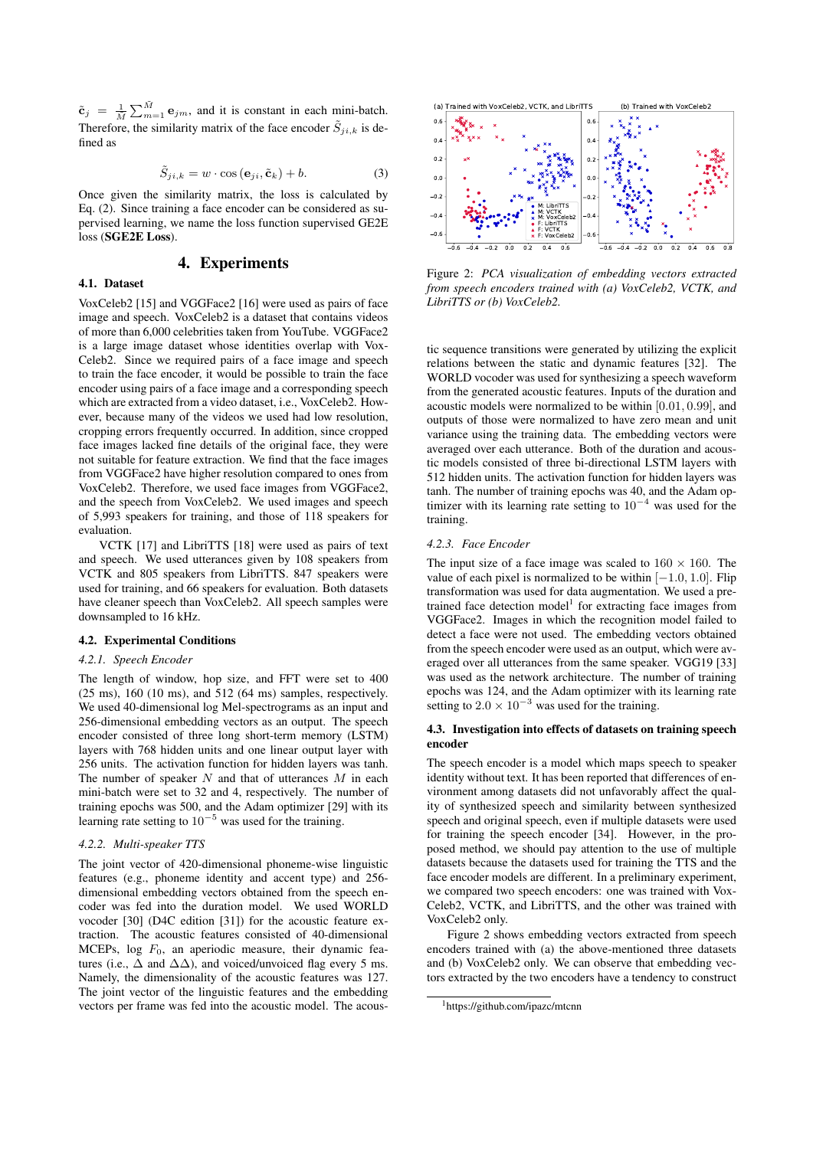$\tilde{\mathbf{c}}_j = \frac{1}{\tilde{M}} \sum_{m=1}^{\tilde{M}} \mathbf{e}_{jm}$ , and it is constant in each mini-batch. Therefore, the similarity matrix of the face encoder  $\tilde{S}_{ii,k}$  is defined as

$$
\tilde{S}_{ji,k} = w \cdot \cos\left(\mathbf{e}_{ji}, \tilde{\mathbf{c}}_k\right) + b. \tag{3}
$$

Once given the similarity matrix, the loss is calculated by Eq. (2). Since training a face encoder can be considered as supervised learning, we name the loss function supervised GE2E loss (SGE2E Loss).

# 4. Experiments

## 4.1. Dataset

VoxCeleb2 [15] and VGGFace2 [16] were used as pairs of face image and speech. VoxCeleb2 is a dataset that contains videos of more than 6,000 celebrities taken from YouTube. VGGFace2 is a large image dataset whose identities overlap with Vox-Celeb2. Since we required pairs of a face image and speech to train the face encoder, it would be possible to train the face encoder using pairs of a face image and a corresponding speech which are extracted from a video dataset, i.e., VoxCeleb2. However, because many of the videos we used had low resolution, cropping errors frequently occurred. In addition, since cropped face images lacked fine details of the original face, they were not suitable for feature extraction. We find that the face images from VGGFace2 have higher resolution compared to ones from VoxCeleb2. Therefore, we used face images from VGGFace2, and the speech from VoxCeleb2. We used images and speech of 5,993 speakers for training, and those of 118 speakers for evaluation.

VCTK [17] and LibriTTS [18] were used as pairs of text and speech. We used utterances given by 108 speakers from VCTK and 805 speakers from LibriTTS. 847 speakers were used for training, and 66 speakers for evaluation. Both datasets have cleaner speech than VoxCeleb2. All speech samples were downsampled to 16 kHz.

#### 4.2. Experimental Conditions

## *4.2.1. Speech Encoder*

The length of window, hop size, and FFT were set to 400 (25 ms), 160 (10 ms), and 512 (64 ms) samples, respectively. We used 40-dimensional log Mel-spectrograms as an input and 256-dimensional embedding vectors as an output. The speech encoder consisted of three long short-term memory (LSTM) layers with 768 hidden units and one linear output layer with 256 units. The activation function for hidden layers was tanh. The number of speaker  $N$  and that of utterances  $M$  in each mini-batch were set to 32 and 4, respectively. The number of training epochs was 500, and the Adam optimizer [29] with its learning rate setting to  $10^{-5}$  was used for the training.

#### *4.2.2. Multi-speaker TTS*

The joint vector of 420-dimensional phoneme-wise linguistic features (e.g., phoneme identity and accent type) and 256 dimensional embedding vectors obtained from the speech encoder was fed into the duration model. We used WORLD vocoder [30] (D4C edition [31]) for the acoustic feature extraction. The acoustic features consisted of 40-dimensional MCEPs,  $log F_0$ , an aperiodic measure, their dynamic features (i.e.,  $\Delta$  and  $\Delta\Delta$ ), and voiced/unvoiced flag every 5 ms. Namely, the dimensionality of the acoustic features was 127. The joint vector of the linguistic features and the embedding vectors per frame was fed into the acoustic model. The acous-



Figure 2: *PCA visualization of embedding vectors extracted from speech encoders trained with (a) VoxCeleb2, VCTK, and LibriTTS or (b) VoxCeleb2.*

tic sequence transitions were generated by utilizing the explicit relations between the static and dynamic features [32]. The WORLD vocoder was used for synthesizing a speech waveform from the generated acoustic features. Inputs of the duration and acoustic models were normalized to be within [0.01, 0.99], and outputs of those were normalized to have zero mean and unit variance using the training data. The embedding vectors were averaged over each utterance. Both of the duration and acoustic models consisted of three bi-directional LSTM layers with 512 hidden units. The activation function for hidden layers was tanh. The number of training epochs was 40, and the Adam optimizer with its learning rate setting to  $10^{-4}$  was used for the training.

### *4.2.3. Face Encoder*

The input size of a face image was scaled to  $160 \times 160$ . The value of each pixel is normalized to be within  $[-1.0, 1.0]$ . Flip transformation was used for data augmentation. We used a pretrained face detection model<sup>1</sup> for extracting face images from VGGFace2. Images in which the recognition model failed to detect a face were not used. The embedding vectors obtained from the speech encoder were used as an output, which were averaged over all utterances from the same speaker. VGG19 [33] was used as the network architecture. The number of training epochs was 124, and the Adam optimizer with its learning rate setting to  $2.0 \times 10^{-3}$  was used for the training.

#### 4.3. Investigation into effects of datasets on training speech encoder

The speech encoder is a model which maps speech to speaker identity without text. It has been reported that differences of environment among datasets did not unfavorably affect the quality of synthesized speech and similarity between synthesized speech and original speech, even if multiple datasets were used for training the speech encoder [34]. However, in the proposed method, we should pay attention to the use of multiple datasets because the datasets used for training the TTS and the face encoder models are different. In a preliminary experiment, we compared two speech encoders: one was trained with Vox-Celeb2, VCTK, and LibriTTS, and the other was trained with VoxCeleb2 only.

Figure 2 shows embedding vectors extracted from speech encoders trained with (a) the above-mentioned three datasets and (b) VoxCeleb2 only. We can observe that embedding vectors extracted by the two encoders have a tendency to construct

<sup>1</sup>https://github.com/ipazc/mtcnn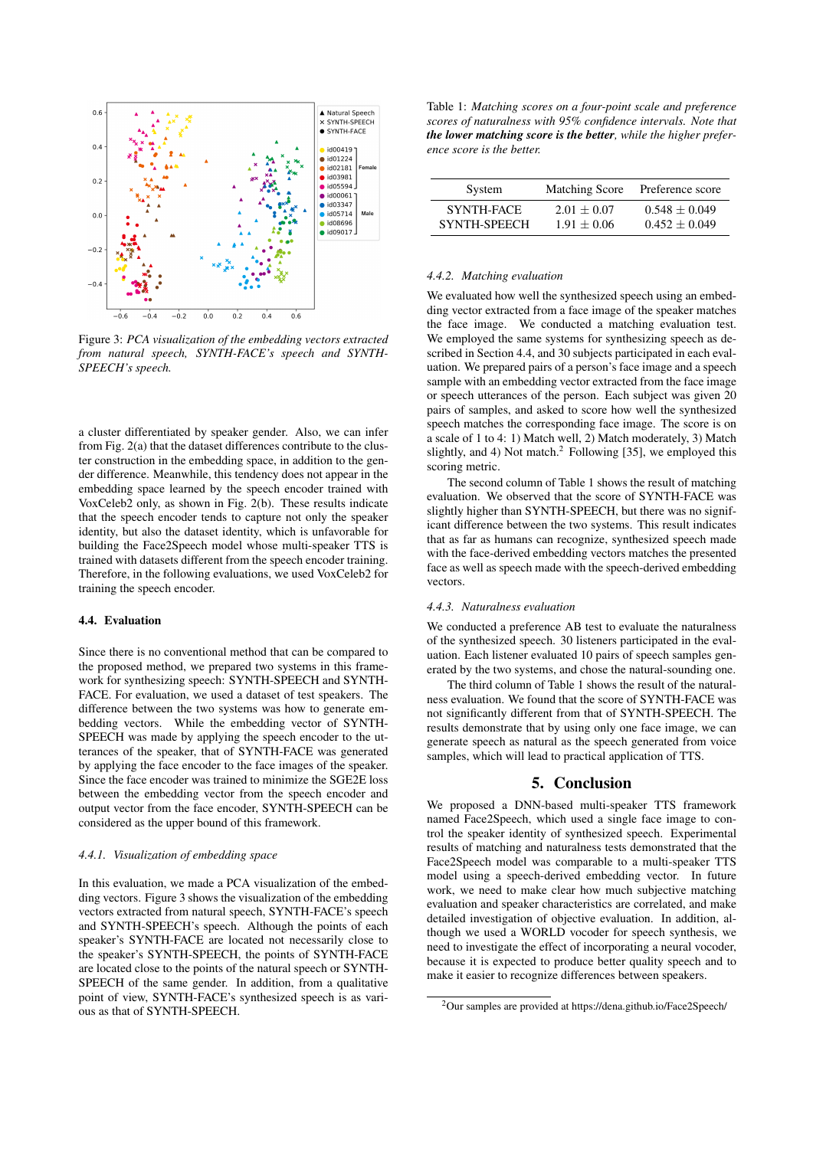

Figure 3: *PCA visualization of the embedding vectors extracted from natural speech, SYNTH-FACE's speech and SYNTH-SPEECH's speech.*

a cluster differentiated by speaker gender. Also, we can infer from Fig. 2(a) that the dataset differences contribute to the cluster construction in the embedding space, in addition to the gender difference. Meanwhile, this tendency does not appear in the embedding space learned by the speech encoder trained with VoxCeleb2 only, as shown in Fig. 2(b). These results indicate that the speech encoder tends to capture not only the speaker identity, but also the dataset identity, which is unfavorable for building the Face2Speech model whose multi-speaker TTS is trained with datasets different from the speech encoder training. Therefore, in the following evaluations, we used VoxCeleb2 for training the speech encoder.

## 4.4. Evaluation

Since there is no conventional method that can be compared to the proposed method, we prepared two systems in this framework for synthesizing speech: SYNTH-SPEECH and SYNTH-FACE. For evaluation, we used a dataset of test speakers. The difference between the two systems was how to generate embedding vectors. While the embedding vector of SYNTH-SPEECH was made by applying the speech encoder to the utterances of the speaker, that of SYNTH-FACE was generated by applying the face encoder to the face images of the speaker. Since the face encoder was trained to minimize the SGE2E loss between the embedding vector from the speech encoder and output vector from the face encoder, SYNTH-SPEECH can be considered as the upper bound of this framework.

#### *4.4.1. Visualization of embedding space*

In this evaluation, we made a PCA visualization of the embedding vectors. Figure 3 shows the visualization of the embedding vectors extracted from natural speech, SYNTH-FACE's speech and SYNTH-SPEECH's speech. Although the points of each speaker's SYNTH-FACE are located not necessarily close to the speaker's SYNTH-SPEECH, the points of SYNTH-FACE are located close to the points of the natural speech or SYNTH-SPEECH of the same gender. In addition, from a qualitative point of view, SYNTH-FACE's synthesized speech is as various as that of SYNTH-SPEECH.

Table 1: *Matching scores on a four-point scale and preference scores of naturalness with 95% confidence intervals. Note that the lower matching score is the better, while the higher preference score is the better.*

| System              | <b>Matching Score</b> | Preference score |
|---------------------|-----------------------|------------------|
| SYNTH-FACE          | $2.01 + 0.07$         | $0.548 + 0.049$  |
| <b>SYNTH-SPEECH</b> | $1.91 + 0.06$         | $0.452 + 0.049$  |

#### *4.4.2. Matching evaluation*

We evaluated how well the synthesized speech using an embedding vector extracted from a face image of the speaker matches the face image. We conducted a matching evaluation test. We employed the same systems for synthesizing speech as described in Section 4.4, and 30 subjects participated in each evaluation. We prepared pairs of a person's face image and a speech sample with an embedding vector extracted from the face image or speech utterances of the person. Each subject was given 20 pairs of samples, and asked to score how well the synthesized speech matches the corresponding face image. The score is on a scale of 1 to 4: 1) Match well, 2) Match moderately, 3) Match slightly, and 4) Not match. $2$  Following [35], we employed this scoring metric.

The second column of Table 1 shows the result of matching evaluation. We observed that the score of SYNTH-FACE was slightly higher than SYNTH-SPEECH, but there was no significant difference between the two systems. This result indicates that as far as humans can recognize, synthesized speech made with the face-derived embedding vectors matches the presented face as well as speech made with the speech-derived embedding vectors.

#### *4.4.3. Naturalness evaluation*

We conducted a preference AB test to evaluate the naturalness of the synthesized speech. 30 listeners participated in the evaluation. Each listener evaluated 10 pairs of speech samples generated by the two systems, and chose the natural-sounding one.

The third column of Table 1 shows the result of the naturalness evaluation. We found that the score of SYNTH-FACE was not significantly different from that of SYNTH-SPEECH. The results demonstrate that by using only one face image, we can generate speech as natural as the speech generated from voice samples, which will lead to practical application of TTS.

#### 5. Conclusion

We proposed a DNN-based multi-speaker TTS framework named Face2Speech, which used a single face image to control the speaker identity of synthesized speech. Experimental results of matching and naturalness tests demonstrated that the Face2Speech model was comparable to a multi-speaker TTS model using a speech-derived embedding vector. In future work, we need to make clear how much subjective matching evaluation and speaker characteristics are correlated, and make detailed investigation of objective evaluation. In addition, although we used a WORLD vocoder for speech synthesis, we need to investigate the effect of incorporating a neural vocoder, because it is expected to produce better quality speech and to make it easier to recognize differences between speakers.

<sup>2</sup>Our samples are provided at https://dena.github.io/Face2Speech/